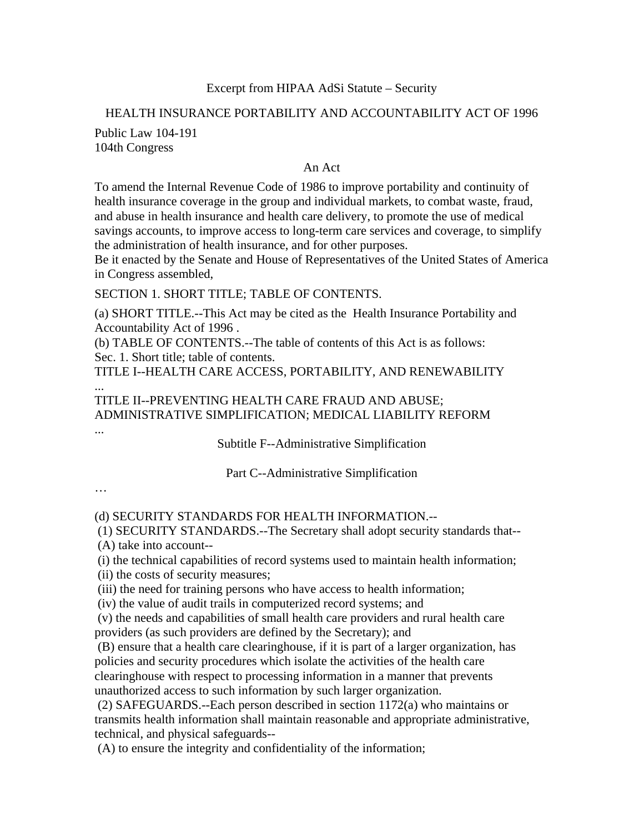## Excerpt from HIPAA AdSi Statute – Security

## HEALTH INSURANCE PORTABILITY AND ACCOUNTABILITY ACT OF 1996

Public Law 104-191 104th Congress

## An Act

To amend the Internal Revenue Code of 1986 to improve portability and continuity of health insurance coverage in the group and individual markets, to combat waste, fraud, and abuse in health insurance and health care delivery, to promote the use of medical savings accounts, to improve access to long-term care services and coverage, to simplify the administration of health insurance, and for other purposes.

Be it enacted by the Senate and House of Representatives of the United States of America in Congress assembled,

SECTION 1. SHORT TITLE; TABLE OF CONTENTS.

(a) SHORT TITLE.--This Act may be cited as the Health Insurance Portability and Accountability Act of 1996 .

(b) TABLE OF CONTENTS.--The table of contents of this Act is as follows: Sec. 1. Short title; table of contents.

TITLE I--HEALTH CARE ACCESS, PORTABILITY, AND RENEWABILITY ...

TITLE II--PREVENTING HEALTH CARE FRAUD AND ABUSE; ADMINISTRATIVE SIMPLIFICATION; MEDICAL LIABILITY REFORM

Subtitle F--Administrative Simplification

Part C--Administrative Simplification

…

...

(d) SECURITY STANDARDS FOR HEALTH INFORMATION.--

 (1) SECURITY STANDARDS.--The Secretary shall adopt security standards that-- (A) take into account--

(i) the technical capabilities of record systems used to maintain health information;

(ii) the costs of security measures;

(iii) the need for training persons who have access to health information;

(iv) the value of audit trails in computerized record systems; and

 (v) the needs and capabilities of small health care providers and rural health care providers (as such providers are defined by the Secretary); and

 (B) ensure that a health care clearinghouse, if it is part of a larger organization, has policies and security procedures which isolate the activities of the health care clearinghouse with respect to processing information in a manner that prevents unauthorized access to such information by such larger organization.

 (2) SAFEGUARDS.--Each person described in section 1172(a) who maintains or transmits health information shall maintain reasonable and appropriate administrative, technical, and physical safeguards--

(A) to ensure the integrity and confidentiality of the information;